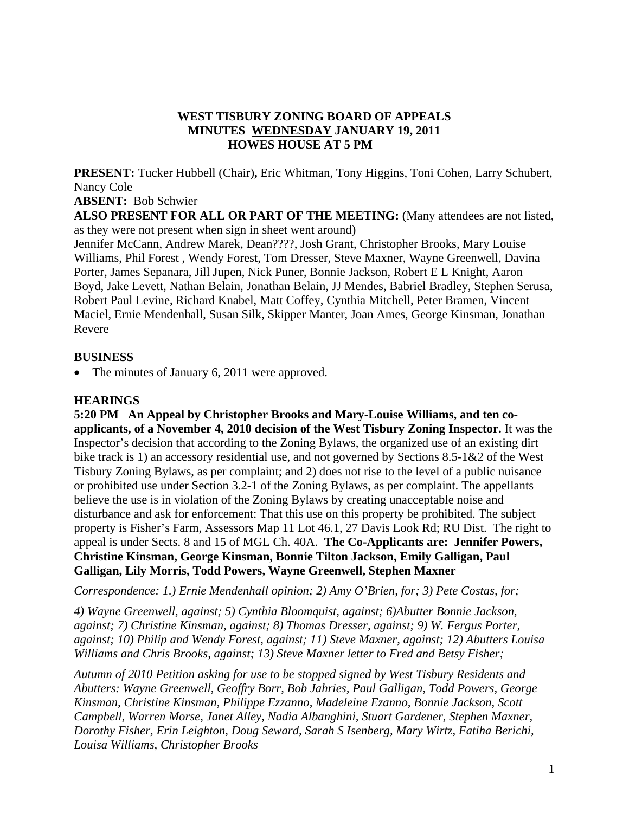### **WEST TISBURY ZONING BOARD OF APPEALS MINUTES WEDNESDAY JANUARY 19, 2011 HOWES HOUSE AT 5 PM**

**PRESENT:** Tucker Hubbell (Chair)**,** Eric Whitman, Tony Higgins, Toni Cohen, Larry Schubert, Nancy Cole

#### **ABSENT:** Bob Schwier

**ALSO PRESENT FOR ALL OR PART OF THE MEETING:** (Many attendees are not listed, as they were not present when sign in sheet went around)

Jennifer McCann, Andrew Marek, Dean????, Josh Grant, Christopher Brooks, Mary Louise Williams, Phil Forest , Wendy Forest, Tom Dresser, Steve Maxner, Wayne Greenwell, Davina Porter, James Sepanara, Jill Jupen, Nick Puner, Bonnie Jackson, Robert E L Knight, Aaron Boyd, Jake Levett, Nathan Belain, Jonathan Belain, JJ Mendes, Babriel Bradley, Stephen Serusa, Robert Paul Levine, Richard Knabel, Matt Coffey, Cynthia Mitchell, Peter Bramen, Vincent Maciel, Ernie Mendenhall, Susan Silk, Skipper Manter, Joan Ames, George Kinsman, Jonathan Revere

### **BUSINESS**

The minutes of January 6, 2011 were approved.

## **HEARINGS**

**5:20 PM An Appeal by Christopher Brooks and Mary-Louise Williams, and ten coapplicants, of a November 4, 2010 decision of the West Tisbury Zoning Inspector.** It was the Inspector's decision that according to the Zoning Bylaws, the organized use of an existing dirt bike track is 1) an accessory residential use, and not governed by Sections 8.5-1&2 of the West Tisbury Zoning Bylaws, as per complaint; and 2) does not rise to the level of a public nuisance or prohibited use under Section 3.2-1 of the Zoning Bylaws, as per complaint. The appellants believe the use is in violation of the Zoning Bylaws by creating unacceptable noise and disturbance and ask for enforcement: That this use on this property be prohibited. The subject property is Fisher's Farm, Assessors Map 11 Lot 46.1, 27 Davis Look Rd; RU Dist. The right to appeal is under Sects. 8 and 15 of MGL Ch. 40A. **The Co-Applicants are: Jennifer Powers, Christine Kinsman, George Kinsman, Bonnie Tilton Jackson, Emily Galligan, Paul Galligan, Lily Morris, Todd Powers, Wayne Greenwell, Stephen Maxner** 

*Correspondence: 1.) Ernie Mendenhall opinion; 2) Amy O'Brien, for; 3) Pete Costas, for;* 

*4) Wayne Greenwell, against; 5) Cynthia Bloomquist, against; 6)Abutter Bonnie Jackson, against; 7) Christine Kinsman, against; 8) Thomas Dresser, against; 9) W. Fergus Porter, against; 10) Philip and Wendy Forest, against; 11) Steve Maxner, against; 12) Abutters Louisa Williams and Chris Brooks, against; 13) Steve Maxner letter to Fred and Betsy Fisher;* 

*Autumn of 2010 Petition asking for use to be stopped signed by West Tisbury Residents and Abutters: Wayne Greenwell, Geoffry Borr, Bob Jahries, Paul Galligan, Todd Powers, George Kinsman, Christine Kinsman, Philippe Ezzanno, Madeleine Ezanno, Bonnie Jackson, Scott Campbell, Warren Morse, Janet Alley, Nadia Albanghini, Stuart Gardener, Stephen Maxner, Dorothy Fisher, Erin Leighton, Doug Seward, Sarah S Isenberg, Mary Wirtz, Fatiha Berichi, Louisa Williams, Christopher Brooks*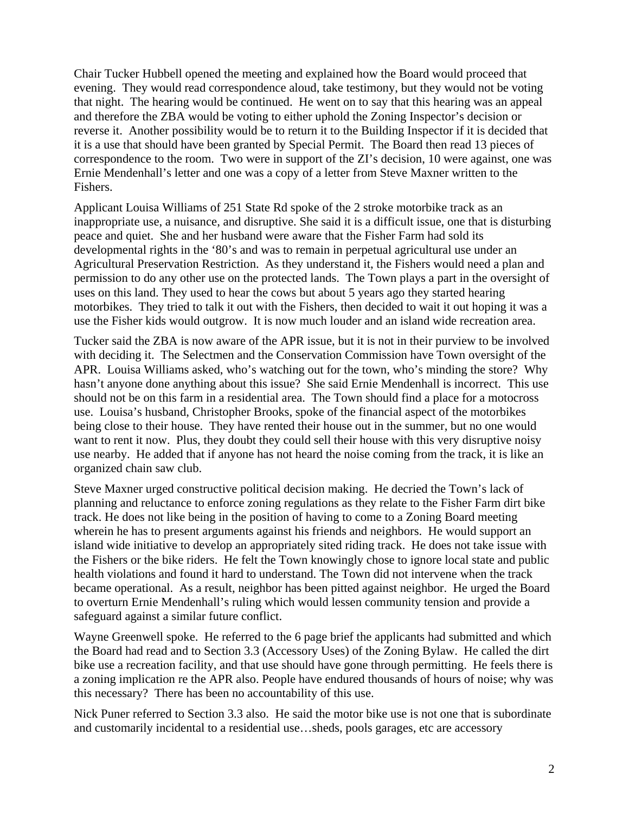Chair Tucker Hubbell opened the meeting and explained how the Board would proceed that evening. They would read correspondence aloud, take testimony, but they would not be voting that night. The hearing would be continued. He went on to say that this hearing was an appeal and therefore the ZBA would be voting to either uphold the Zoning Inspector's decision or reverse it. Another possibility would be to return it to the Building Inspector if it is decided that it is a use that should have been granted by Special Permit. The Board then read 13 pieces of correspondence to the room. Two were in support of the ZI's decision, 10 were against, one was Ernie Mendenhall's letter and one was a copy of a letter from Steve Maxner written to the Fishers.

Applicant Louisa Williams of 251 State Rd spoke of the 2 stroke motorbike track as an inappropriate use, a nuisance, and disruptive. She said it is a difficult issue, one that is disturbing peace and quiet. She and her husband were aware that the Fisher Farm had sold its developmental rights in the '80's and was to remain in perpetual agricultural use under an Agricultural Preservation Restriction. As they understand it, the Fishers would need a plan and permission to do any other use on the protected lands. The Town plays a part in the oversight of uses on this land. They used to hear the cows but about 5 years ago they started hearing motorbikes. They tried to talk it out with the Fishers, then decided to wait it out hoping it was a use the Fisher kids would outgrow. It is now much louder and an island wide recreation area.

Tucker said the ZBA is now aware of the APR issue, but it is not in their purview to be involved with deciding it. The Selectmen and the Conservation Commission have Town oversight of the APR. Louisa Williams asked, who's watching out for the town, who's minding the store? Why hasn't anyone done anything about this issue? She said Ernie Mendenhall is incorrect. This use should not be on this farm in a residential area. The Town should find a place for a motocross use. Louisa's husband, Christopher Brooks, spoke of the financial aspect of the motorbikes being close to their house. They have rented their house out in the summer, but no one would want to rent it now. Plus, they doubt they could sell their house with this very disruptive noisy use nearby. He added that if anyone has not heard the noise coming from the track, it is like an organized chain saw club.

Steve Maxner urged constructive political decision making. He decried the Town's lack of planning and reluctance to enforce zoning regulations as they relate to the Fisher Farm dirt bike track. He does not like being in the position of having to come to a Zoning Board meeting wherein he has to present arguments against his friends and neighbors. He would support an island wide initiative to develop an appropriately sited riding track. He does not take issue with the Fishers or the bike riders. He felt the Town knowingly chose to ignore local state and public health violations and found it hard to understand. The Town did not intervene when the track became operational. As a result, neighbor has been pitted against neighbor. He urged the Board to overturn Ernie Mendenhall's ruling which would lessen community tension and provide a safeguard against a similar future conflict.

Wayne Greenwell spoke. He referred to the 6 page brief the applicants had submitted and which the Board had read and to Section 3.3 (Accessory Uses) of the Zoning Bylaw. He called the dirt bike use a recreation facility, and that use should have gone through permitting. He feels there is a zoning implication re the APR also. People have endured thousands of hours of noise; why was this necessary? There has been no accountability of this use.

Nick Puner referred to Section 3.3 also. He said the motor bike use is not one that is subordinate and customarily incidental to a residential use…sheds, pools garages, etc are accessory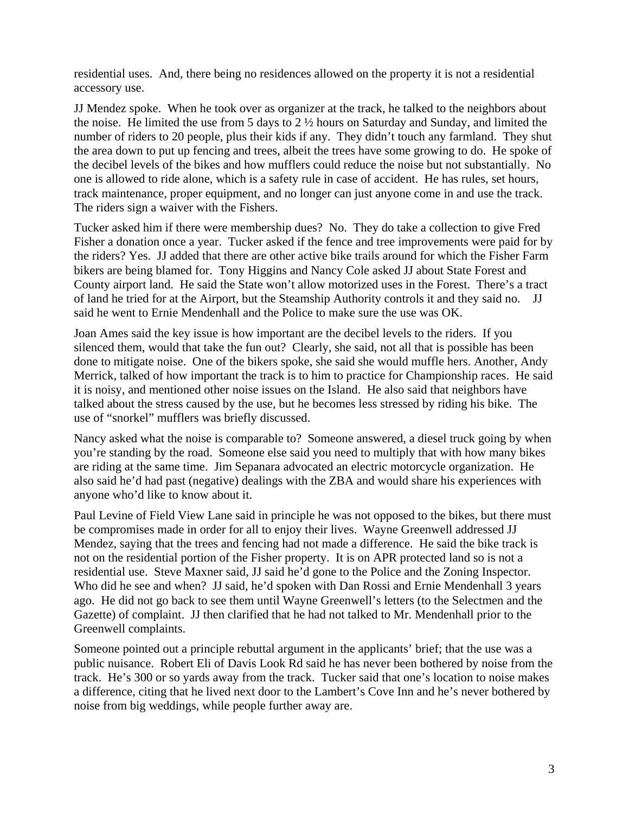residential uses. And, there being no residences allowed on the property it is not a residential accessory use.

JJ Mendez spoke. When he took over as organizer at the track, he talked to the neighbors about the noise. He limited the use from 5 days to 2 ½ hours on Saturday and Sunday, and limited the number of riders to 20 people, plus their kids if any. They didn't touch any farmland. They shut the area down to put up fencing and trees, albeit the trees have some growing to do. He spoke of the decibel levels of the bikes and how mufflers could reduce the noise but not substantially. No one is allowed to ride alone, which is a safety rule in case of accident. He has rules, set hours, track maintenance, proper equipment, and no longer can just anyone come in and use the track. The riders sign a waiver with the Fishers.

Tucker asked him if there were membership dues? No. They do take a collection to give Fred Fisher a donation once a year. Tucker asked if the fence and tree improvements were paid for by the riders? Yes. JJ added that there are other active bike trails around for which the Fisher Farm bikers are being blamed for. Tony Higgins and Nancy Cole asked JJ about State Forest and County airport land. He said the State won't allow motorized uses in the Forest. There's a tract of land he tried for at the Airport, but the Steamship Authority controls it and they said no. JJ said he went to Ernie Mendenhall and the Police to make sure the use was OK.

Joan Ames said the key issue is how important are the decibel levels to the riders. If you silenced them, would that take the fun out? Clearly, she said, not all that is possible has been done to mitigate noise. One of the bikers spoke, she said she would muffle hers. Another, Andy Merrick, talked of how important the track is to him to practice for Championship races. He said it is noisy, and mentioned other noise issues on the Island. He also said that neighbors have talked about the stress caused by the use, but he becomes less stressed by riding his bike. The use of "snorkel" mufflers was briefly discussed.

Nancy asked what the noise is comparable to? Someone answered, a diesel truck going by when you're standing by the road. Someone else said you need to multiply that with how many bikes are riding at the same time. Jim Sepanara advocated an electric motorcycle organization. He also said he'd had past (negative) dealings with the ZBA and would share his experiences with anyone who'd like to know about it.

Paul Levine of Field View Lane said in principle he was not opposed to the bikes, but there must be compromises made in order for all to enjoy their lives. Wayne Greenwell addressed JJ Mendez, saying that the trees and fencing had not made a difference. He said the bike track is not on the residential portion of the Fisher property. It is on APR protected land so is not a residential use. Steve Maxner said, JJ said he'd gone to the Police and the Zoning Inspector. Who did he see and when? JJ said, he'd spoken with Dan Rossi and Ernie Mendenhall 3 years ago. He did not go back to see them until Wayne Greenwell's letters (to the Selectmen and the Gazette) of complaint. JJ then clarified that he had not talked to Mr. Mendenhall prior to the Greenwell complaints.

Someone pointed out a principle rebuttal argument in the applicants' brief; that the use was a public nuisance. Robert Eli of Davis Look Rd said he has never been bothered by noise from the track. He's 300 or so yards away from the track. Tucker said that one's location to noise makes a difference, citing that he lived next door to the Lambert's Cove Inn and he's never bothered by noise from big weddings, while people further away are.